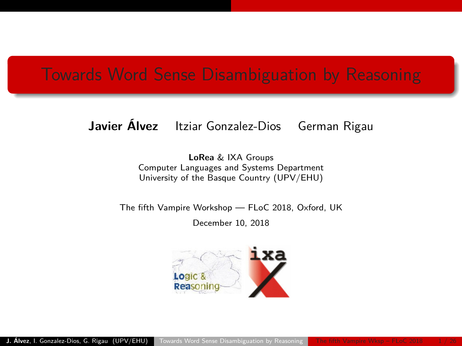## <span id="page-0-0"></span>Towards Word Sense Disambiguation by Reasoning

### **Javier Álvez** Itziar Gonzalez-Dios German Rigau

**LoRea** & IXA Groups Computer Languages and Systems Department University of the Basque Country (UPV/EHU)

The fifth Vampire Workshop — FLoC 2018, Oxford, UK

December 10, 2018

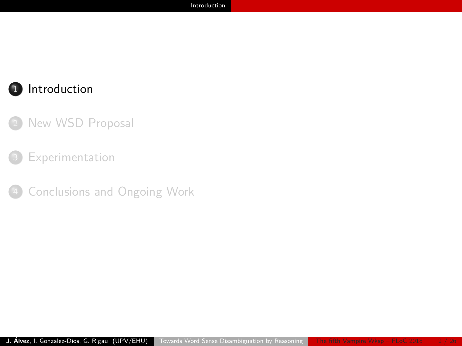### <span id="page-1-0"></span>1 [Introduction](#page-1-0)

### [New WSD Proposal](#page-7-0)

#### [Experimentation](#page-12-0)

[Conclusions and Ongoing Work](#page-21-0)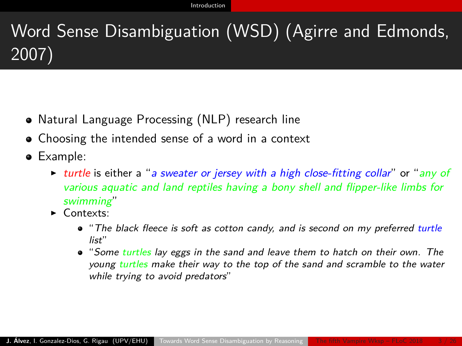# <span id="page-2-0"></span>Word Sense Disambiguation (WSD) (Agirre and Edmonds, 2007)

- Natural Language Processing (NLP) research line
- Choosing the intended sense of a word in a context
- Example:
	- In turtle is either a "a sweater or jersey with a high close-fitting collar" or "any of various aquatic and land reptiles having a bony shell and flipper-like limbs for swimming"
	- $\bullet$  Contexts:
		- The black fleece is soft as cotton candy, and is second on my preferred turtle list"
		- "Some turtles lay eggs in the sand and leave them to hatch on their own. The young turtles make their way to the top of the sand and scramble to the water while trying to avoid predators"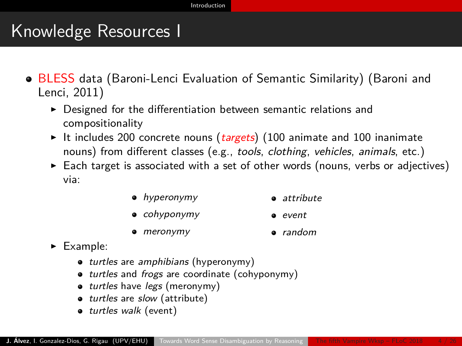## <span id="page-3-0"></span>Knowledge Resources I

- BLESS data (Baroni-Lenci Evaluation of Semantic Similarity) (Baroni and Lenci, 2011)
	- $\triangleright$  Designed for the differentiation between semantic relations and compositionality
	- It includes 200 concrete nouns (targets) (100 animate and 100 inanimate nouns) from different classes (e.g., tools, clothing, vehicles, animals, etc.)
	- $\triangleright$  Each target is associated with a set of other words (nouns, verbs or adjectives) via:
		- hyperonymy a attribute
		- **·** cohyponymy event
		- meronymy random
	- $\blacktriangleright$  Example:
		- turtles are amphibians (hyperonymy)
		- turtles and frogs are coordinate (cohyponymy)
		- turtles have legs (meronymy)
		- turtles are slow (attribute)
		- **o** turtles walk (event)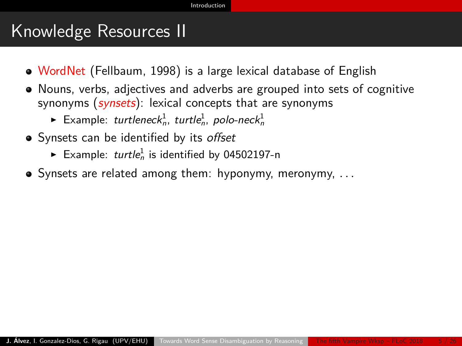## <span id="page-4-0"></span>Knowledge Resources II

- WordNet (Fellbaum, 1998) is a large lexical database of English
- Nouns, verbs, adjectives and adverbs are grouped into sets of cognitive synonyms  $(synsets)$ : lexical concepts that are synonyms
	- $\blacktriangleright$  Example: turtlenec $k_n^1$ , turtle $_n^1$ , polo-nec $k_n^1$
- Svnsets can be identified by its offset
	- Example:  $turtle_n^1$  is identified by 04502197-n
- Synsets are related among them: hyponymy, meronymy, *. . .*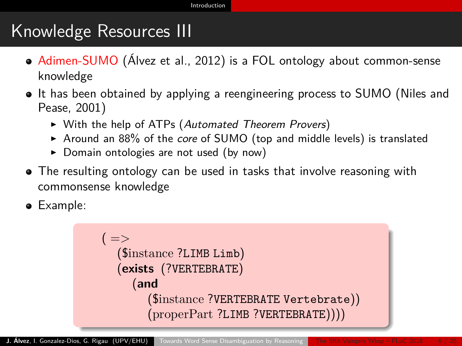## <span id="page-5-0"></span>Knowledge Resources III

- Adimen-SUMO (Álvez et al., 2012) is a FOL ontology about common-sense knowledge
- It has been obtained by applying a reengineering process to SUMO (Niles and Pease, 2001)
	- ▶ With the help of ATPs (Automated Theorem Provers)
	- $\triangleright$  Around an 88% of the core of SUMO (top and middle levels) is translated
	- $\triangleright$  Domain ontologies are not used (by now)
- The resulting ontology can be used in tasks that involve reasoning with commonsense knowledge
- Example:

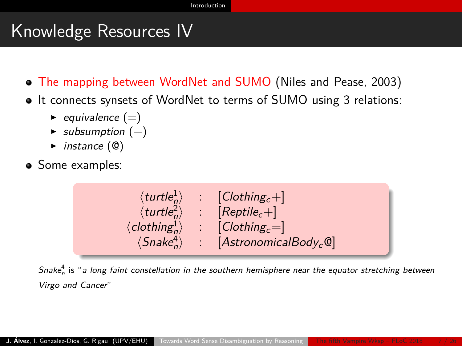## <span id="page-6-0"></span>Knowledge Resources IV

- The mapping between WordNet and SUMO (Niles and Pease, 2003)
- It connects synsets of WordNet to terms of SUMO using 3 relations:
	- $\blacktriangleright$  equivalence (=)
	- $\blacktriangleright$  subsumption  $(+)$
	- $\blacktriangleright$  instance  $(\mathbb{Q})$
- Some examples:



Snake ${}^{4}_{n}$  is "a long faint constellation in the southern hemisphere near the equator stretching between Virgo and Cancer"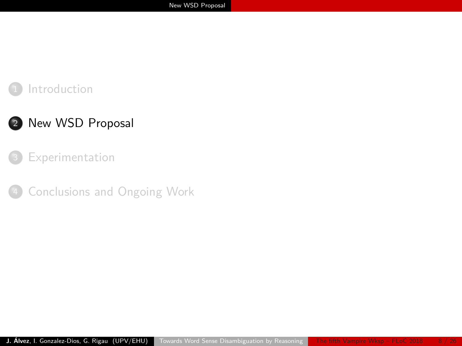### <span id="page-7-0"></span>**[Introduction](#page-1-0)**

### 2 [New WSD Proposal](#page-7-0)

#### [Experimentation](#page-12-0)

[Conclusions and Ongoing Work](#page-21-0)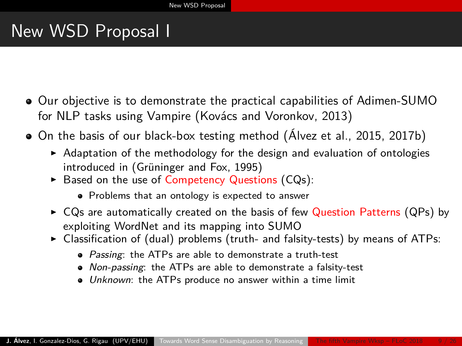## <span id="page-8-0"></span>New WSD Proposal I

- Our objective is to demonstrate the practical capabilities of Adimen-SUMO for NLP tasks using Vampire (Kovács and Voronkov, 2013)
- On the basis of our black-box testing method (Álvez et al., 2015, 2017b)
	- $\blacktriangleright$  Adaptation of the methodology for the design and evaluation of ontologies introduced in (Grüninger and Fox, 1995)
	- $\triangleright$  Based on the use of Competency Questions (CQs):
		- Problems that an ontology is expected to answer
	- $\triangleright$  CQs are automatically created on the basis of few Question Patterns (QPs) by exploiting WordNet and its mapping into SUMO
	- $\triangleright$  Classification of (dual) problems (truth- and falsity-tests) by means of ATPs:
		- Passing: the ATPs are able to demonstrate a truth-test
		- Non-passing: the ATPs are able to demonstrate a falsity-test
		- $\bullet$  Unknown: the ATPs produce no answer within a time limit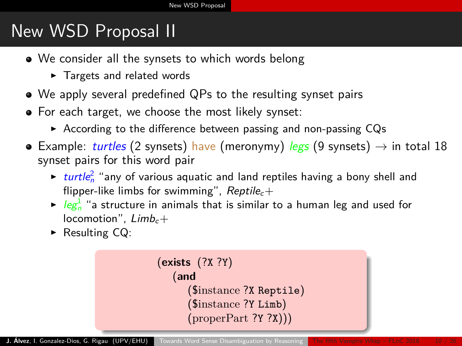# <span id="page-9-0"></span>New WSD Proposal II

- We consider all the synsets to which words belong
	- $\blacktriangleright$  Targets and related words
- We apply several predefined QPs to the resulting synset pairs
- For each target, we choose the most likely synset:
	- $\triangleright$  According to the difference between passing and non-passing CQs
- **•** Example: turtles (2 synsets) have (meronymy) legs (9 synsets)  $\rightarrow$  in total 18 synset pairs for this word pair
	- $\triangleright$  turtle<sup>2</sup> "any of various aquatic and land reptiles having a bony shell and flipper-like limbs for swimming",  $Reptile<sub>c</sub>$ +
	- $\blacktriangleright$  leg $_{n}^{1}$  "a structure in animals that is similar to a human leg and used for locomotion",  $Limb_c+$
	- $\triangleright$  Resulting CQ:

```
(exists (?X ?Y)
(and
    ($instance ?X Reptile)
    ($instance ?Y Limb)
    (properPart ?Y ?X))
```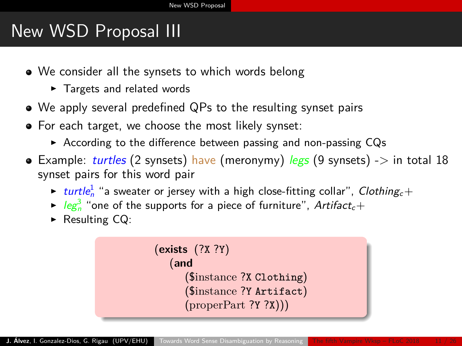# <span id="page-10-0"></span>New WSD Proposal III

- We consider all the synsets to which words belong
	- $\blacktriangleright$  Targets and related words
- We apply several predefined QPs to the resulting synset pairs
- For each target, we choose the most likely synset:
	- $\triangleright$  According to the difference between passing and non-passing CQs
- Example: *turtles* (2 synsets) have (meronymy) legs (9 synsets) -> in total 18 synset pairs for this word pair
	- $\blacktriangleright$  turtle $^1_n$  "a sweater or jersey with a high close-fitting collar",  $C$ lothing $_c+$
	- $\blacktriangleright$  leg $_{n}^{3}$  "one of the supports for a piece of furniture", Artifact $_{c}+$
	- $\triangleright$  Resulting CQ:

```
(exists (?X ?Y)
(and
   ($instance ?X Clothing)
   ($instance ?Y Artifact)
   (properPart ?Y ?X))
```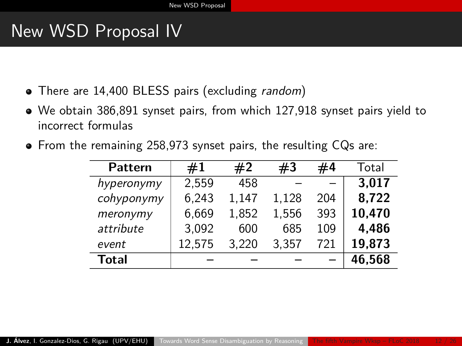## <span id="page-11-0"></span>New WSD Proposal IV

- There are 14,400 BLESS pairs (excluding *random*)
- We obtain 386,891 synset pairs, from which 127,918 synset pairs yield to incorrect formulas
- From the remaining 258,973 synset pairs, the resulting CQs are:

| Pattern    | #1     | #2    | #3    | #4  | Total  |
|------------|--------|-------|-------|-----|--------|
| hyperonymy | 2.559  | 458   |       |     | 3,017  |
| cohyponymy | 6.243  | 1,147 | 1,128 | 204 | 8,722  |
| meronymy   | 6,669  | 1,852 | 1,556 | 393 | 10,470 |
| attribute  | 3,092  | 600   | 685   | 109 | 4,486  |
| event      | 12,575 | 3.220 | 3.357 | 721 | 19,873 |
| Total      |        |       |       |     | 46,568 |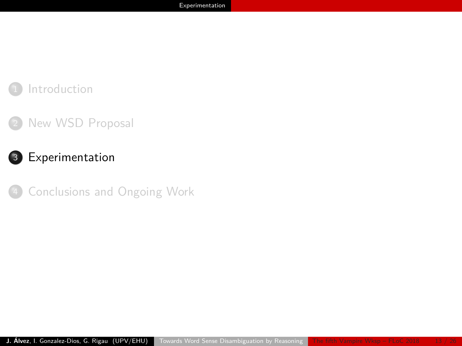### <span id="page-12-0"></span>**[Introduction](#page-1-0)**

### [New WSD Proposal](#page-7-0)

### <sup>3</sup> [Experimentation](#page-12-0)

[Conclusions and Ongoing Work](#page-21-0)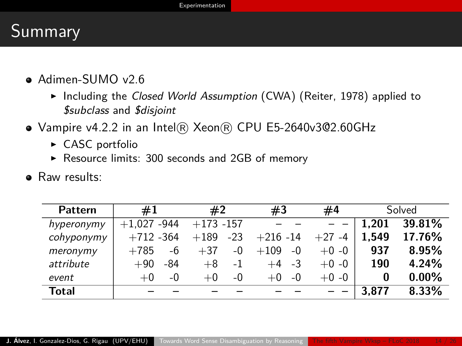## <span id="page-13-0"></span>Summary

- Adimen-SUMO v2.6
	- $\triangleright$  Including the Closed World Assumption (CWA) (Reiter, 1978) applied to \$subclass and \$disjoint
- Vampire v4.2.2 in an Intel® Xeon® CPU E5-2640v3@2.60GHz
	- $\triangleright$  CASC portfolio
	- $\triangleright$  Resource limits: 300 seconds and 2GB of memory
- **•** Raw results:

| Pattern    | #1               | #2              | #3             | #4            |       | Solved   |
|------------|------------------|-----------------|----------------|---------------|-------|----------|
| hyperonymy | -944<br>$+1.027$ | $+173 - 157$    |                |               | 1.201 | 39.81%   |
| cohyponymy | $+712 - 364$     | $-23$<br>$+189$ | $+216 - 14$    | $+27$<br>$-4$ | 1.549 | 17.76%   |
| meronymy   | $+785$<br>-6     | $+37$<br>-0     | $+109$<br>$-0$ | $+0 - 0$      | 937   | 8.95%    |
| attribute  | $+90$<br>-84     | $-1$<br>$+8$    | $+4$ -3        | $+0 -0$       | 190   | 4.24%    |
| event      | -0<br>$+0$       | $+0$<br>-0      | $-0$<br>$+0$   | $+0 -0$       |       | $0.00\%$ |
| Total      |                  |                 |                |               | 3.877 | 8.33%    |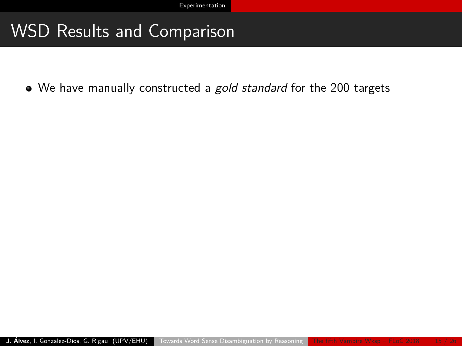## <span id="page-14-0"></span>WSD Results and Comparison

• We have manually constructed a gold standard for the 200 targets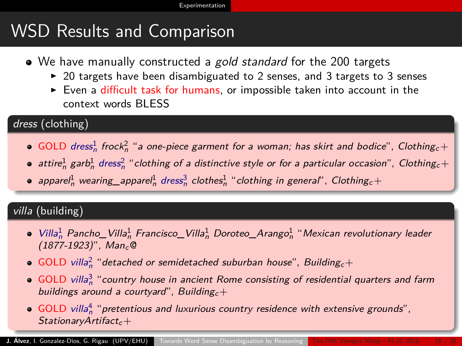# <span id="page-15-0"></span>WSD Results and Comparison

- We have manually constructed a gold standard for the 200 targets
	- $\triangleright$  20 targets have been disambiguated to 2 senses, and 3 targets to 3 senses
	- $\blacktriangleright$  Even a difficult task for humans, or impossible taken into account in the context words BLESS

#### dress (clothing)

- GOLD dress<sup>1</sup> frock<sup>2</sup> "a one-piece garment for a woman; has skirt and bodice", Clothing<sub>c</sub>+
- attire $^1_n$  garb $^1_n$  dress $^2_n$  "clothing of a distinctive style or for a particular occasion", Clothing $_c+$
- apparel $^1_n$  wearing\_apparel $^1_n$  dress $^3_n$  clothes $^1_n$  "clothing in general", Clothing $_c+$

#### villa (building)

- Villa<sup>1</sup><sub>n</sub> Pancho\_Villa<sup>1</sup><sub>n</sub> Francisco\_Villa<sup>1</sup><sub>n</sub> Doroteo\_Arango<sup>1</sup><sub>n</sub> "Mexican revolutionary leader  $(1877-1923)$ ", Man<sub>c</sub>@
- GOLD villa<sup>2</sup> "detached or semidetached suburban house", Building<sub>c</sub>+
- GOLD villa $^3_n$  "country house in ancient Rome consisting of residential quarters and farm buildings around a courtyard", Building $c+$
- GOLD villa $^4_n$  "pretentious and luxurious country residence with extensive grounds",  $StationaryArtifact_c+$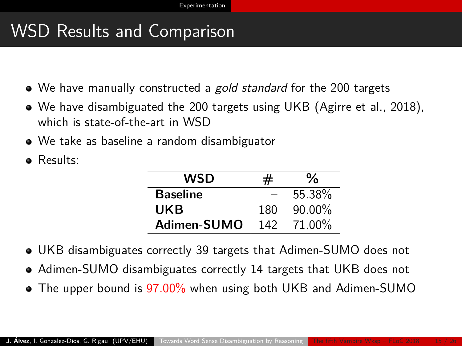## <span id="page-16-0"></span>WSD Results and Comparison

- We have manually constructed a gold standard for the 200 targets
- We have disambiguated the 200 targets using UKB (Agirre et al., 2018), which is state-of-the-art in WSD
- We take as baseline a random disambiguator
- Results:

| WSD             | #   | ℅      |
|-----------------|-----|--------|
| <b>Baseline</b> |     | 55.38% |
| UKB             | 180 | 90.00% |
| Adimen-SUMO     | 142 | 71.00% |

- UKB disambiguates correctly 39 targets that Adimen-SUMO does not
- Adimen-SUMO disambiguates correctly 14 targets that UKB does not
- The upper bound is 97.00% when using both UKB and Adimen-SUMO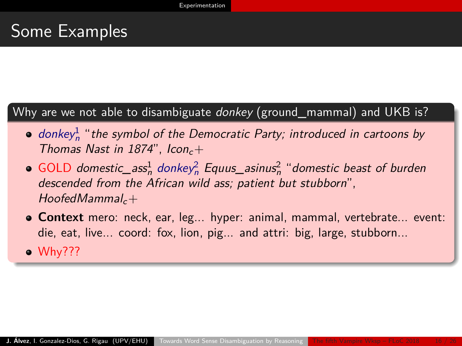## <span id="page-17-0"></span>Some Examples

### Why are we not able to disambiguate *donkey* (ground\_mammal) and UKB is?

- donkey $^1_n$  "the symbol of the Democratic Party; introduced in cartoons by Thomas Nast in 1874",  $lcon_c+$
- GOLD domestic\_ass $\frac{1}{n}$  donkey $\frac{2}{n}$  Equus\_asinus $\frac{2}{n}$  "domestic beast of burden descended from the African wild ass; patient but stubborn",  $HoofedMammal<sub>c</sub> +$
- **Context** mero: neck, ear, leg... hyper: animal, mammal, vertebrate... event: die, eat, live... coord: fox, lion, pig... and attri: big, large, stubborn...
- Why???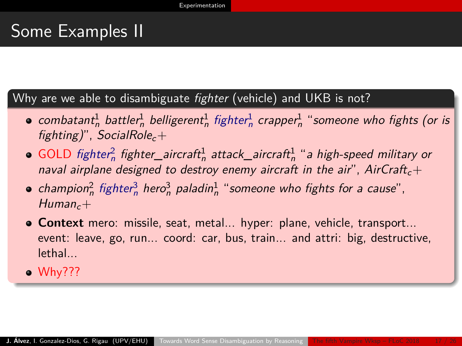### <span id="page-18-0"></span>Some Examples II

Why are we able to disambiguate *fighter* (vehicle) and UKB is not?

- $\mathit{combatant}_n^1$  battler $_n^1$  belligerent $_n^1$  fighter $_n^1$  crapper $_n^1$  "someone who fights (or is fighting)", SocialRole<sub>c</sub>+
- GOLD fighter $^2_n$  fighter\_aircraft $^1_n$  attack\_aircraft $^1_n$  "a high-speed military or naval airplane designed to destroy enemy aircraft in the air", AirCraft<sub>c</sub>+
- champion<sup>2</sup> fighter<sup>3</sup> hero<sup>3</sup> paladin<sup>1</sup> "someone who fights for a cause",  $Human_c+$
- **Context** mero: missile, seat, metal... hyper: plane, vehicle, transport... event: leave, go, run... coord: car, bus, train... and attri: big, destructive, lethal...
- Why???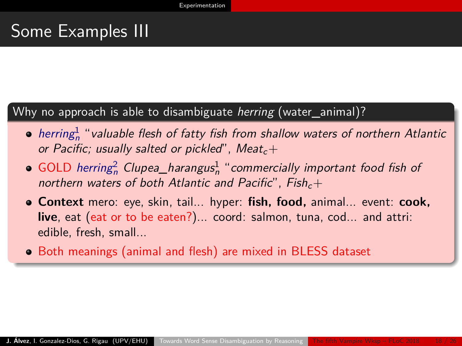## <span id="page-19-0"></span>Some Examples III

### Why no approach is able to disambiguate *herring* (water animal)?

- $herring^1_n$  "valuable flesh of fatty fish from shallow waters of northern Atlantic or Pacific; usually salted or pickled", Meat<sub>c</sub>+
- GOLD herring<sup>2</sup> Clupea\_harangus<sup>1</sup>, "commercially important food fish of northern waters of both Atlantic and Pacific",  $Fish_c+$
- **Context** mero: eye, skin, tail... hyper: **fish, food,** animal... event: **cook, live**, eat (eat or to be eaten?)... coord: salmon, tuna, cod... and attri: edible, fresh, small...
- Both meanings (animal and flesh) are mixed in BLESS dataset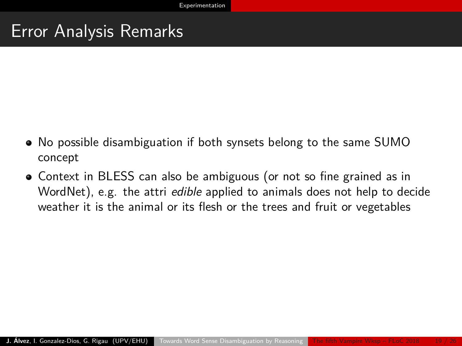## <span id="page-20-0"></span>Error Analysis Remarks

- No possible disambiguation if both synsets belong to the same SUMO concept
- Context in BLESS can also be ambiguous (or not so fine grained as in WordNet), e.g. the attri edible applied to animals does not help to decide weather it is the animal or its flesh or the trees and fruit or vegetables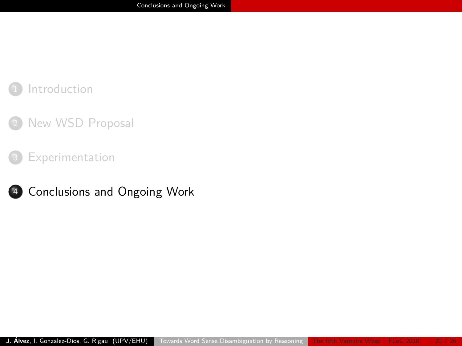### <span id="page-21-0"></span>**[Introduction](#page-1-0)**

### [New WSD Proposal](#page-7-0)

#### [Experimentation](#page-12-0)

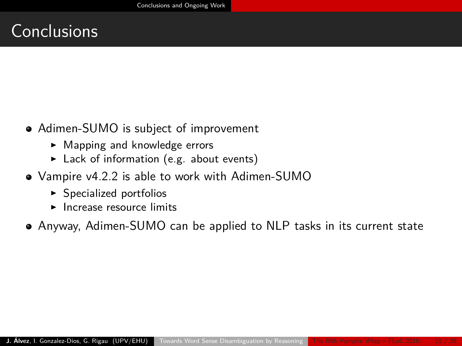## <span id="page-22-0"></span>**Conclusions**

- Adimen-SUMO is subject of improvement
	- $\blacktriangleright$  Mapping and knowledge errors
	- $\blacktriangleright$  Lack of information (e.g. about events)
- Vampire v4.2.2 is able to work with Adimen-SUMO
	- $\blacktriangleright$  Specialized portfolios
	- $\blacktriangleright$  Increase resource limits
- Anyway, Adimen-SUMO can be applied to NLP tasks in its current state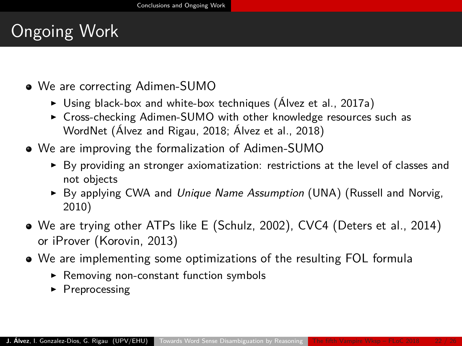# <span id="page-23-0"></span>Ongoing Work

- We are correcting Adimen-SUMO
	- $\triangleright$  Using black-box and white-box techniques (Álvez et al., 2017a)
	- ► Cross-checking Adimen-SUMO with other knowledge resources such as WordNet (Álvez and Rigau, 2018; Álvez et al., 2018)
- We are improving the formalization of Adimen-SUMO
	- $\triangleright$  By providing an stronger axiomatization: restrictions at the level of classes and not objects
	- $\triangleright$  By applying CWA and Unique Name Assumption (UNA) (Russell and Norvig, 2010)
- We are trying other ATPs like E (Schulz, 2002), CVC4 (Deters et al., 2014) or iProver (Korovin, 2013)
- We are implementing some optimizations of the resulting FOL formula
	- $\blacktriangleright$  Removing non-constant function symbols
	- $\blacktriangleright$  Preprocessing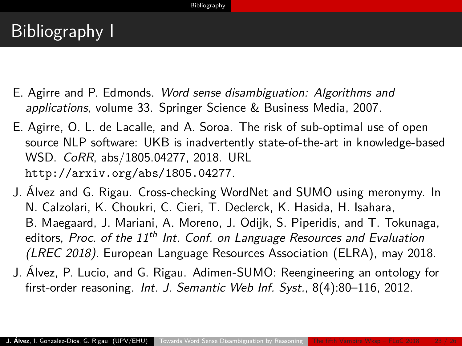## <span id="page-24-0"></span>Bibliography I

- E. Agirre and P. Edmonds. Word sense disambiguation: Algorithms and applications, volume 33. Springer Science & Business Media, 2007.
- E. Agirre, O. L. de Lacalle, and A. Soroa. The risk of sub-optimal use of open source NLP software: UKB is inadvertently state-of-the-art in knowledge-based WSD. CoRR, abs/1805.04277, 2018. URL <http://arxiv.org/abs/1805.04277>.
- J. Álvez and G. Rigau. Cross-checking WordNet and SUMO using meronymy. In N. Calzolari, K. Choukri, C. Cieri, T. Declerck, K. Hasida, H. Isahara, B. Maegaard, J. Mariani, A. Moreno, J. Odijk, S. Piperidis, and T. Tokunaga, editors, Proc. of the  $11^{th}$  Int. Conf. on Language Resources and Evaluation (LREC 2018). European Language Resources Association (ELRA), may 2018.
- J. Álvez, P. Lucio, and G. Rigau. Adimen-SUMO: Reengineering an ontology for first-order reasoning. Int. J. Semantic Web Inf. Syst., 8(4):80-116, 2012.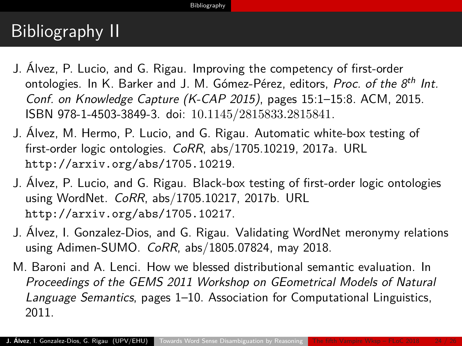# <span id="page-25-0"></span>Bibliography II

- J. Álvez, P. Lucio, and G. Rigau. Improving the competency of first-order ontologies. In K. Barker and J. M. Gómez-Pérez, editors, *Proc. of the 8<sup>th</sup> Int.* Conf. on Knowledge Capture (K-CAP 2015), pages 15:1–15:8. ACM, 2015. ISBN 978-1-4503-3849-3. doi: 10.1145/2815833.2815841.
- J. Álvez, M. Hermo, P. Lucio, and G. Rigau. Automatic white-box testing of first-order logic ontologies. CoRR, abs/1705.10219, 2017a. URL <http://arxiv.org/abs/1705.10219>.
- J. Álvez, P. Lucio, and G. Rigau. Black-box testing of first-order logic ontologies using WordNet. CoRR, abs/1705.10217, 2017b. URL <http://arxiv.org/abs/1705.10217>.
- J. Álvez, I. Gonzalez-Dios, and G. Rigau. Validating WordNet meronymy relations using Adimen-SUMO. CoRR, abs/1805.07824, may 2018.
- M. Baroni and A. Lenci. How we blessed distributional semantic evaluation. In Proceedings of the GEMS 2011 Workshop on GEometrical Models of Natural Language Semantics, pages 1–10. Association for Computational Linguistics, 2011.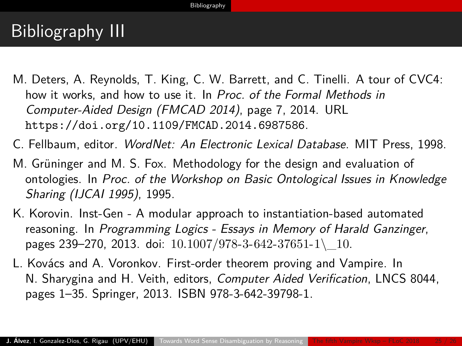# <span id="page-26-0"></span>Bibliography III

- M. Deters, A. Reynolds, T. King, C. W. Barrett, and C. Tinelli. A tour of CVC4: how it works, and how to use it. In Proc. of the Formal Methods in Computer-Aided Design (FMCAD 2014), page 7, 2014. URL <https://doi.org/10.1109/FMCAD.2014.6987586>.
- C. Fellbaum, editor. WordNet: An Electronic Lexical Database. MIT Press, 1998.
- M. Grüninger and M. S. Fox. Methodology for the design and evaluation of ontologies. In Proc. of the Workshop on Basic Ontological Issues in Knowledge Sharing (IJCAI 1995), 1995.
- K. Korovin. Inst-Gen A modular approach to instantiation-based automated reasoning. In Programming Logics - Essays in Memory of Harald Ganzinger, pages 239–270, 2013. doi:  $10.1007/978-3-642-37651-1$  10.
- L. Kovács and A. Voronkov. First-order theorem proving and Vampire. In N. Sharygina and H. Veith, editors, Computer Aided Verification, LNCS 8044, pages 1–35. Springer, 2013. ISBN 978-3-642-39798-1.